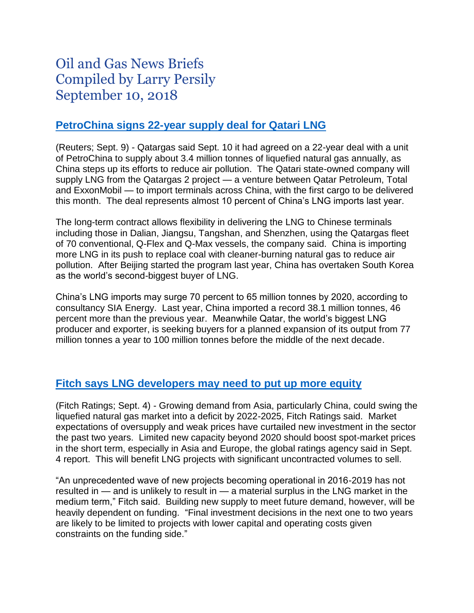# Oil and Gas News Briefs Compiled by Larry Persily September 10, 2018

### **PetroChina [signs 22-year supply deal for Qatari LNG](https://www.reuters.com/article/us-qatar-petrochina/qatargas-agrees-on-22-year-lng-supply-deal-with-china-idUSKCN1LQ0DM)**

(Reuters; Sept. 9) - Qatargas said Sept. 10 it had agreed on a 22-year deal with a unit of PetroChina to supply about 3.4 million tonnes of liquefied natural gas annually, as China steps up its efforts to reduce air pollution. The Qatari state-owned company will supply LNG from the Qatargas 2 project — a venture between Qatar Petroleum, Total and ExxonMobil — to import terminals across China, with the first cargo to be delivered this month. The deal represents almost 10 percent of China's LNG imports last year.

The long-term contract allows flexibility in delivering the LNG to Chinese terminals including those in Dalian, Jiangsu, Tangshan, and Shenzhen, using the Qatargas fleet of 70 conventional, Q-Flex and Q-Max vessels, the company said. China is importing more LNG in its push to replace coal with cleaner-burning natural gas to reduce air pollution. After Beijing started the program last year, China has overtaken South Korea as the world's second-biggest buyer of LNG.

China's LNG imports may surge 70 percent to 65 million tonnes by 2020, according to consultancy SIA Energy. Last year, China imported a record 38.1 million tonnes, 46 percent more than the previous year. Meanwhile Qatar, the world's biggest LNG producer and exporter, is seeking buyers for a planned expansion of its output from 77 million tonnes a year to 100 million tonnes before the middle of the next decade.

#### **[Fitch says LNG developers may need to put up more equity](https://www.fitchratings.com/site/pr/10043604)**

(Fitch Ratings; Sept. 4) - Growing demand from Asia, particularly China, could swing the liquefied natural gas market into a deficit by 2022-2025, Fitch Ratings said. Market expectations of oversupply and weak prices have curtailed new investment in the sector the past two years. Limited new capacity beyond 2020 should boost spot-market prices in the short term, especially in Asia and Europe, the global ratings agency said in Sept. 4 report. This will benefit LNG projects with significant uncontracted volumes to sell.

"An unprecedented wave of new projects becoming operational in 2016-2019 has not resulted in — and is unlikely to result in — a material surplus in the LNG market in the medium term," Fitch said. Building new supply to meet future demand, however, will be heavily dependent on funding. "Final investment decisions in the next one to two years are likely to be limited to projects with lower capital and operating costs given constraints on the funding side."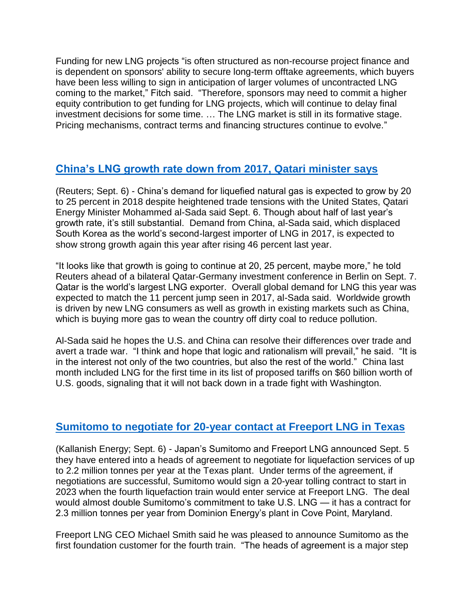Funding for new LNG projects "is often structured as non-recourse project finance and is dependent on sponsors' ability to secure long-term offtake agreements, which buyers have been less willing to sign in anticipation of larger volumes of uncontracted LNG coming to the market," Fitch said. "Therefore, sponsors may need to commit a higher equity contribution to get funding for LNG projects, which will continue to delay final investment decisions for some time. … The LNG market is still in its formative stage. Pricing mechanisms, contract terms and financing structures continue to evolve."

# **[China's LNG growth rate down from 2017, Qatari minister says](https://www.reuters.com/article/us-qatar-china/china-lng-demand-seen-up-by-25-percent-in-2018-qatar-energy-minister-idUSKCN1LM35Z)**

(Reuters; Sept. 6) - China's demand for liquefied natural gas is expected to grow by 20 to 25 percent in 2018 despite heightened trade tensions with the United States, Qatari Energy Minister Mohammed al-Sada said Sept. 6. Though about half of last year's growth rate, it's still substantial. Demand from China, al-Sada said, which displaced South Korea as the world's second-largest importer of LNG in 2017, is expected to show strong growth again this year after rising 46 percent last year.

"It looks like that growth is going to continue at 20, 25 percent, maybe more," he told Reuters ahead of a bilateral Qatar-Germany investment conference in Berlin on Sept. 7. Qatar is the world's largest LNG exporter. Overall global demand for LNG this year was expected to match the 11 percent jump seen in 2017, al-Sada said. Worldwide growth is driven by new LNG consumers as well as growth in existing markets such as China, which is buying more gas to wean the country off dirty coal to reduce pollution.

Al-Sada said he hopes the U.S. and China can resolve their differences over trade and avert a trade war. "I think and hope that logic and rationalism will prevail," he said. "It is in the interest not only of the two countries, but also the rest of the world." China last month included LNG for the first time in its list of proposed tariffs on \$60 billion worth of U.S. goods, signaling that it will not back down in a trade fight with Washington.

# **[Sumitomo to negotiate for 20-year contact at Freeport LNG in Texas](http://www.kallanishenergy.com/2018/09/06/sumitomo-freeport-lng-sign-hoa-for-2-2-mtpa-of-lng/)**

(Kallanish Energy; Sept. 6) - Japan's Sumitomo and Freeport LNG announced Sept. 5 they have entered into a heads of agreement to negotiate for liquefaction services of up to 2.2 million tonnes per year at the Texas plant. Under terms of the agreement, if negotiations are successful, Sumitomo would sign a 20-year tolling contract to start in 2023 when the fourth liquefaction train would enter service at Freeport LNG. The deal would almost double Sumitomo's commitment to take U.S. LNG — it has a contract for 2.3 million tonnes per year from Dominion Energy's plant in Cove Point, Maryland.

Freeport LNG CEO Michael Smith said he was pleased to announce Sumitomo as the first foundation customer for the fourth train. "The heads of agreement is a major step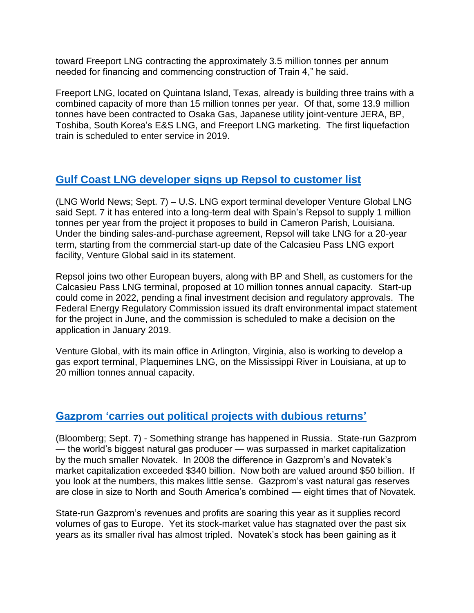toward Freeport LNG contracting the approximately 3.5 million tonnes per annum needed for financing and commencing construction of Train 4," he said.

Freeport LNG, located on Quintana Island, Texas, already is building three trains with a combined capacity of more than 15 million tonnes per year. Of that, some 13.9 million tonnes have been contracted to Osaka Gas, Japanese utility joint-venture JERA, BP, Toshiba, South Korea's E&S LNG, and Freeport LNG marketing. The first liquefaction train is scheduled to enter service in 2019.

# **[Gulf Coast LNG developer signs up](https://www.lngworldnews.com/venture-global-lng-in-20-year-supply-deal-with-repsol/) Repsol to customer list**

(LNG World News; Sept. 7) – U.S. LNG export terminal developer Venture Global LNG said Sept. 7 it has entered into a long-term deal with Spain's Repsol to supply 1 million tonnes per year from the project it proposes to build in Cameron Parish, Louisiana. Under the binding sales-and-purchase agreement, Repsol will take LNG for a 20-year term, starting from the commercial start-up date of the Calcasieu Pass LNG export facility, Venture Global said in its statement.

Repsol joins two other European buyers, along with BP and Shell, as customers for the Calcasieu Pass LNG terminal, proposed at 10 million tonnes annual capacity. Start-up could come in 2022, pending a final investment decision and regulatory approvals. The Federal Energy Regulatory Commission issued its draft environmental impact statement for the project in June, and the commission is scheduled to make a decision on the application in January 2019.

Venture Global, with its main office in Arlington, Virginia, also is working to develop a gas export terminal, Plaquemines LNG, on the Mississippi River in Louisiana, at up to 20 million tonnes annual capacity.

#### **[Gazprom 'carries out political projects with dubious returns'](https://www.bloombergquint.com/markets/2018/09/06/how-did-russia-s-gas-giant-get-beaten-by-its-smaller-rival#gs._WrG7Aw)**

(Bloomberg; Sept. 7) - Something strange has happened in Russia. State-run Gazprom — the world's biggest natural gas producer — was surpassed in market capitalization by the much smaller Novatek. In 2008 the difference in Gazprom's and Novatek's market capitalization exceeded \$340 billion. Now both are valued around \$50 billion. If you look at the numbers, this makes little sense. Gazprom's vast natural gas reserves are close in size to North and South America's combined — eight times that of Novatek.

State-run Gazprom's revenues and profits are soaring this year as it supplies record volumes of gas to Europe. Yet its stock-market value has stagnated over the past six years as its smaller rival has almost tripled. Novatek's stock has been gaining as it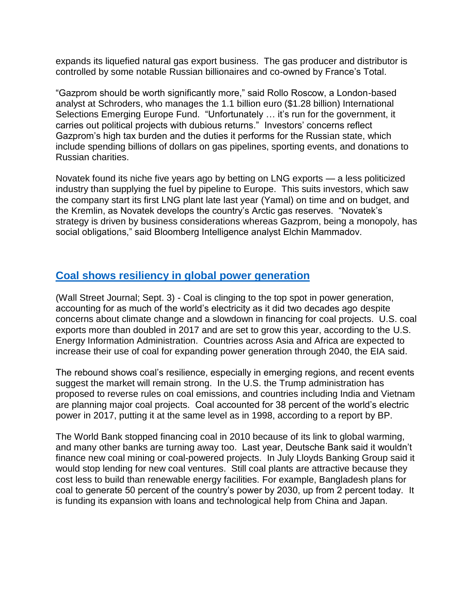expands its liquefied natural gas export business. The gas producer and distributor is controlled by some notable Russian billionaires and co-owned by France's Total.

"Gazprom should be worth significantly more," said Rollo Roscow, a London-based analyst at Schroders, who manages the 1.1 billion euro (\$1.28 billion) International Selections Emerging Europe Fund. "Unfortunately … it's run for the government, it carries out political projects with dubious returns." Investors' concerns reflect Gazprom's high tax burden and the duties it performs for the Russian state, which include spending billions of dollars on gas pipelines, sporting events, and donations to Russian charities.

Novatek found its niche five years ago by betting on LNG exports — a less politicized industry than supplying the fuel by pipeline to Europe. This suits investors, which saw the company start its first LNG plant late last year (Yamal) on time and on budget, and the Kremlin, as Novatek develops the country's Arctic gas reserves. "Novatek's strategy is driven by business considerations whereas Gazprom, being a monopoly, has social obligations," said Bloomberg Intelligence analyst Elchin Mammadov.

### **[Coal shows resiliency in global power generation](https://www.wsj.com/articles/why-coals-power-persists-1535976000?mod=searchresults&page=1&pos=3)**

(Wall Street Journal; Sept. 3) - Coal is clinging to the top spot in power generation, accounting for as much of the world's electricity as it did two decades ago despite concerns about climate change and a slowdown in financing for coal projects. U.S. coal exports more than doubled in 2017 and are set to grow this year, according to the U.S. Energy Information Administration. Countries across Asia and Africa are expected to increase their use of coal for expanding power generation through 2040, the EIA said.

The rebound shows coal's resilience, especially in emerging regions, and recent events suggest the market will remain strong. In the U.S. the Trump administration has proposed to reverse rules on coal emissions, and countries including India and Vietnam are planning major coal projects. Coal accounted for 38 percent of the world's electric power in 2017, putting it at the same level as in 1998, according to a report by BP.

The World Bank stopped financing coal in 2010 because of its link to global warming, and many other banks are turning away too. Last year, Deutsche Bank said it wouldn't finance new coal mining or coal-powered projects. In July Lloyds Banking Group said it would stop lending for new coal ventures. Still coal plants are attractive because they cost less to build than renewable energy facilities. For example, Bangladesh plans for coal to generate 50 percent of the country's power by 2030, up from 2 percent today. It is funding its expansion with loans and technological help from China and Japan.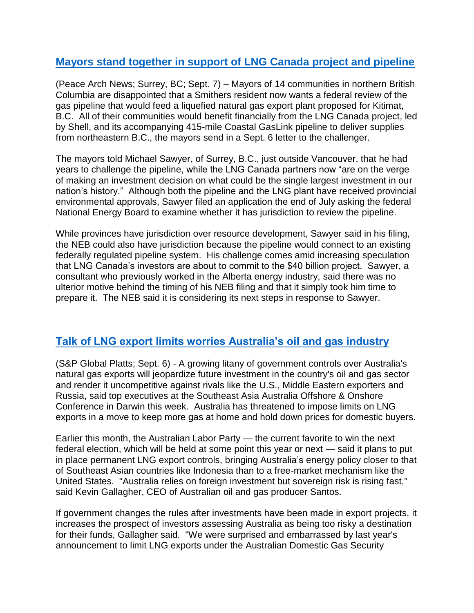## **[Mayors stand together in support of LNG Canada project and pipeline](https://www.peacearchnews.com/news/14-northern-b-c-mayors-disappointed-at-lng-pipeline-challenge/)**

(Peace Arch News; Surrey, BC; Sept. 7) – Mayors of 14 communities in northern British Columbia are disappointed that a Smithers resident now wants a federal review of the gas pipeline that would feed a liquefied natural gas export plant proposed for Kitimat, B.C. All of their communities would benefit financially from the LNG Canada project, led by Shell, and its accompanying 415-mile Coastal GasLink pipeline to deliver supplies from northeastern B.C., the mayors send in a Sept. 6 letter to the challenger.

The mayors told Michael Sawyer, of Surrey, B.C., just outside Vancouver, that he had years to challenge the pipeline, while the LNG Canada partners now "are on the verge of making an investment decision on what could be the single largest investment in our nation's history." Although both the pipeline and the LNG plant have received provincial environmental approvals, Sawyer filed an application the end of July asking the federal National Energy Board to examine whether it has jurisdiction to review the pipeline.

While provinces have jurisdiction over resource development, Sawyer said in his filing, the NEB could also have jurisdiction because the pipeline would connect to an existing federally regulated pipeline system. His challenge comes amid increasing speculation that LNG Canada's investors are about to commit to the \$40 billion project. Sawyer, a consultant who previously worked in the Alberta energy industry, said there was no ulterior motive behind the timing of his NEB filing and that it simply took him time to prepare it. The NEB said it is considering its next steps in response to Sawyer.

# **[Talk of LNG export limits worries Australia's oil and gas industry](https://www.spglobal.com/platts/en/market-insights/latest-news/natural-gas/090618-analysis-australias-growing-lng-export-controls-jeopardize-oil-and-gas-investment)**

(S&P Global Platts; Sept. 6) - A growing litany of government controls over Australia's natural gas exports will jeopardize future investment in the country's oil and gas sector and render it uncompetitive against rivals like the U.S., Middle Eastern exporters and Russia, said top executives at the Southeast Asia Australia Offshore & Onshore Conference in Darwin this week. Australia has threatened to impose limits on LNG exports in a move to keep more gas at home and hold down prices for domestic buyers.

Earlier this month, the Australian Labor Party — the current favorite to win the next federal election, which will be held at some point this year or next — said it plans to put in place permanent LNG export controls, bringing Australia's energy policy closer to that of Southeast Asian countries like Indonesia than to a free-market mechanism like the United States. "Australia relies on foreign investment but sovereign risk is rising fast," said Kevin Gallagher, CEO of Australian oil and gas producer Santos.

If government changes the rules after investments have been made in export projects, it increases the prospect of investors assessing Australia as being too risky a destination for their funds, Gallagher said. "We were surprised and embarrassed by last year's announcement to limit LNG exports under the Australian Domestic Gas Security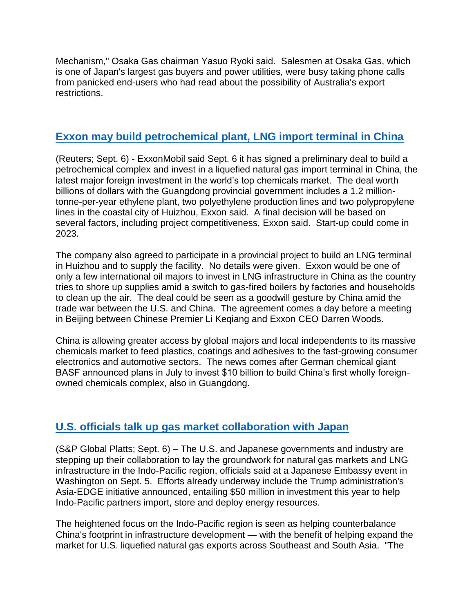Mechanism," Osaka Gas chairman Yasuo Ryoki said. Salesmen at Osaka Gas, which is one of Japan's largest gas buyers and power utilities, were busy taking phone calls from panicked end-users who had read about the possibility of Australia's export restrictions.

### **[Exxon may build petrochemical plant, LNG import terminal in China](https://af.reuters.com/article/commoditiesNews/idAFL3N1VR6BK)**

(Reuters; Sept. 6) - ExxonMobil said Sept. 6 it has signed a preliminary deal to build a petrochemical complex and invest in a liquefied natural gas import terminal in China, the latest major foreign investment in the world's top chemicals market. The deal worth billions of dollars with the Guangdong provincial government includes a 1.2 milliontonne-per-year ethylene plant, two polyethylene production lines and two polypropylene lines in the coastal city of Huizhou, Exxon said. A final decision will be based on several factors, including project competitiveness, Exxon said. Start-up could come in 2023.

The company also agreed to participate in a provincial project to build an LNG terminal in Huizhou and to supply the facility. No details were given. Exxon would be one of only a few international oil majors to invest in LNG infrastructure in China as the country tries to shore up supplies amid a switch to gas-fired boilers by factories and households to clean up the air. The deal could be seen as a goodwill gesture by China amid the trade war between the U.S. and China. The agreement comes a day before a meeting in Beijing between Chinese Premier Li Keqiang and Exxon CEO Darren Woods.

China is allowing greater access by global majors and local independents to its massive chemicals market to feed plastics, coatings and adhesives to the fast-growing consumer electronics and automotive sectors. The news comes after German chemical giant BASF announced plans in July to invest \$10 billion to build China's first wholly foreignowned chemicals complex, also in Guangdong.

# **[U.S. officials talk up gas market collaboration with Japan](https://www.spglobal.com/platts/en/market-insights/latest-news/natural-gas/090618-us-japan-tout-energy-sector-cooperation-with-eye-toward-lng-infrastructure)**

(S&P Global Platts; Sept. 6) – The U.S. and Japanese governments and industry are stepping up their collaboration to lay the groundwork for natural gas markets and LNG infrastructure in the Indo-Pacific region, officials said at a Japanese Embassy event in Washington on Sept. 5. Efforts already underway include the Trump administration's Asia-EDGE initiative announced, entailing \$50 million in investment this year to help Indo-Pacific partners import, store and deploy energy resources.

The heightened focus on the Indo-Pacific region is seen as helping counterbalance China's footprint in infrastructure development — with the benefit of helping expand the market for U.S. liquefied natural gas exports across Southeast and South Asia. "The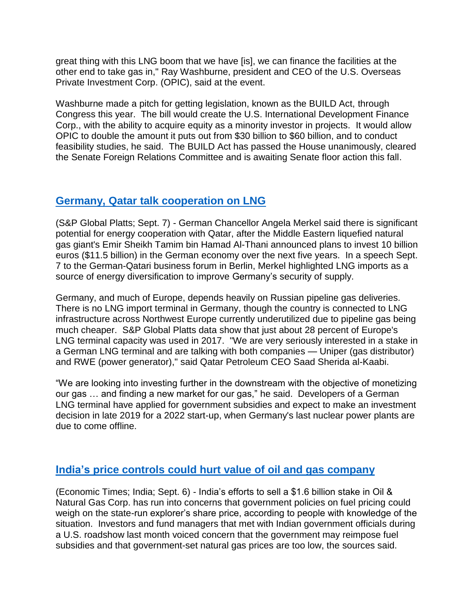great thing with this LNG boom that we have [is], we can finance the facilities at the other end to take gas in," Ray Washburne, president and CEO of the U.S. Overseas Private Investment Corp. (OPIC), said at the event.

Washburne made a pitch for getting legislation, known as the BUILD Act, through Congress this year. The bill would create the U.S. International Development Finance Corp., with the ability to acquire equity as a minority investor in projects. It would allow OPIC to double the amount it puts out from \$30 billion to \$60 billion, and to conduct feasibility studies, he said. The BUILD Act has passed the House unanimously, cleared the Senate Foreign Relations Committee and is awaiting Senate floor action this fall.

### **[Germany, Qatar talk cooperation on LNG](https://www.spglobal.com/platts/en/market-insights/latest-news/natural-gas/090718-germanys-merkel-sees-considerable-energy-cooperation-potential-with-qatar-on-lng)**

(S&P Global Platts; Sept. 7) - German Chancellor Angela Merkel said there is significant potential for energy cooperation with Qatar, after the Middle Eastern liquefied natural gas giant's Emir Sheikh Tamim bin Hamad Al-Thani announced plans to invest 10 billion euros (\$11.5 billion) in the German economy over the next five years. In a speech Sept. 7 to the German-Qatari business forum in Berlin, Merkel highlighted LNG imports as a source of energy diversification to improve Germany's security of supply.

Germany, and much of Europe, depends heavily on Russian pipeline gas deliveries. There is no LNG import terminal in Germany, though the country is connected to LNG infrastructure across Northwest Europe currently underutilized due to pipeline gas being much cheaper. S&P Global Platts data show that just about 28 percent of Europe's LNG terminal capacity was used in 2017. "We are very seriously interested in a stake in a German LNG terminal and are talking with both companies — Uniper (gas distributor) and RWE (power generator)," said Qatar Petroleum CEO Saad Sherida al-Kaabi.

"We are looking into investing further in the downstream with the objective of monetizing our gas … and finding a new market for our gas," he said. Developers of a German LNG terminal have applied for government subsidies and expect to make an investment decision in late 2019 for a 2022 start-up, when Germany's last nuclear power plants are due to come offline.

# **[India's price controls could](https://economictimes.indiatimes.com/markets/stocks/news/ongc-1-6-billion-stake-sale-likely-to-face-subsidy-hurdle/articleshow/65697580.cms) hurt value of oil and gas company**

(Economic Times; India; Sept. 6) - India's efforts to sell a \$1.6 billion stake in Oil & Natural Gas Corp. has run into concerns that government policies on fuel pricing could weigh on the state-run explorer's share price, according to people with knowledge of the situation. Investors and fund managers that met with Indian government officials during a U.S. roadshow last month voiced concern that the government may reimpose fuel subsidies and that government-set natural gas prices are too low, the sources said.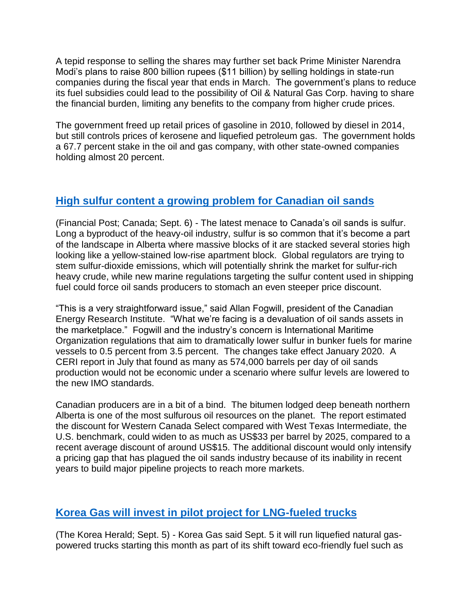A tepid response to selling the shares may further set back Prime Minister Narendra Modi's plans to raise 800 billion rupees (\$11 billion) by selling holdings in state-run companies during the fiscal year that ends in March. The government's plans to reduce its fuel subsidies could lead to the possibility of Oil & Natural Gas Corp. having to share the financial burden, limiting any benefits to the company from higher crude prices.

The government freed up retail prices of gasoline in 2010, followed by diesel in 2014, but still controls prices of kerosene and liquefied petroleum gas. The government holds a 67.7 percent stake in the oil and gas company, with other state-owned companies holding almost 20 percent.

### **[High sulfur content a growing problem for Canadian oil sands](https://business.financialpost.com/commodities/energy/how-sulfur-is-quietly-posing-one-of-the-most-immediate-threats-to-canadas-oilsands-industry)**

(Financial Post; Canada; Sept. 6) - The latest menace to Canada's oil sands is sulfur. Long a byproduct of the heavy-oil industry, sulfur is so common that it's become a part of the landscape in Alberta where massive blocks of it are stacked several stories high looking like a yellow-stained low-rise apartment block. Global regulators are trying to stem sulfur-dioxide emissions, which will potentially shrink the market for sulfur-rich heavy crude, while new marine regulations targeting the sulfur content used in shipping fuel could force oil sands producers to stomach an even steeper price discount.

"This is a very straightforward issue," said Allan Fogwill, president of the Canadian Energy Research Institute. "What we're facing is a devaluation of oil sands assets in the marketplace." Fogwill and the industry's concern is International Maritime Organization regulations that aim to dramatically lower sulfur in bunker fuels for marine vessels to 0.5 percent from 3.5 percent. The changes take effect January 2020. A CERI report in July that found as many as 574,000 barrels per day of oil sands production would not be economic under a scenario where sulfur levels are lowered to the new IMO standards.

Canadian producers are in a bit of a bind. The bitumen lodged deep beneath northern Alberta is one of the most sulfurous oil resources on the planet. The report estimated the discount for Western Canada Select compared with West Texas Intermediate, the U.S. benchmark, could widen to as much as US\$33 per barrel by 2025, compared to a recent average discount of around US\$15. The additional discount would only intensify a pricing gap that has plagued the oil sands industry because of its inability in recent years to build major pipeline projects to reach more markets.

# **[Korea Gas will invest in pilot project for LNG-fueled trucks](http://www.koreaherald.com/view.php?ud=20180905000690)**

(The Korea Herald; Sept. 5) - Korea Gas said Sept. 5 it will run liquefied natural gaspowered trucks starting this month as part of its shift toward eco-friendly fuel such as